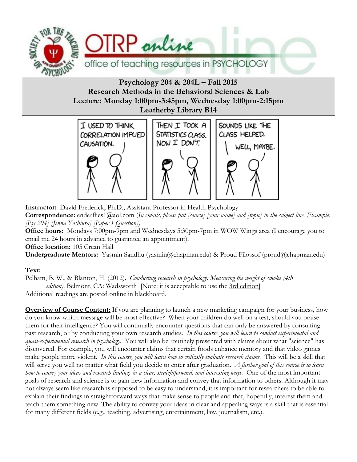

**Psychology 204 & 204L – Fall 2015 Research Methods in the Behavioral Sciences & Lab Lecture: Monday 1:00pm-3:45pm, Wednesday 1:00pm-2:15pm Leatherby Library B14**



**Instructor:** David Frederick, Ph.D., Assistant Professor in Health Psychology **Correspondence:** enderflies1@aol.com (*In emails, please put [course] [your name] and [topic] in the subject line. Example: [Psy 204] [Jenna Yoshiura] [Paper 1 Question])*

**Office hours:** Mondays 7:00pm-9pm and Wednesdays 5:30pm-7pm in WOW Wings area (I encourage you to email me 24 hours in advance to guarantee an appointment).

**Office location:** 105 Crean Hall

**Undergraduate Mentors:** Yasmin Sandhu (yasmin@chapman.edu) & Proud Filossof (proud@chapman.edu)

## **Text:**

Pelham, B. W., & Blanton, H. (2012). *Conducting research in psychology: Measuring the weight of smoke (4th* 

*edition*). Belmont, CA: Wadsworth [Note: it is acceptable to use the 3rd edition]

Additional readings are posted online in blackboard.

**Overview of Course Content:** If you are planning to launch a new marketing campaign for your business, how do you know which message will be most effective? When your children do well on a test, should you praise them for their intelligence? You will continually encounter questions that can only be answered by consulting past research, or by conducting your own research studies. *In this course, you will learn to conduct experimental and quasi-experimental research in psychology.* You will also be routinely presented with claims about what "science" has discovered. For example, you will encounter claims that certain foods enhance memory and that video games make people more violent. *In this course, you will learn how to critically evaluate research claims.* This will be a skill that will serve you well no matter what field you decide to enter after graduation. *A further goal of this course is to learn how to convey your ideas and research findings in a clear, straightforward, and interesting ways.* One of the most important goals of research and science is to gain new information and convey that information to others. Although it may not always seem like research is supposed to be easy to understand, it is important for researchers to be able to explain their findings in straightforward ways that make sense to people and that, hopefully, interest them and teach them something new. The ability to convey your ideas in clear and appealing ways is a skill that is essential for many different fields (e.g., teaching, advertising, entertainment, law, journalism, etc.).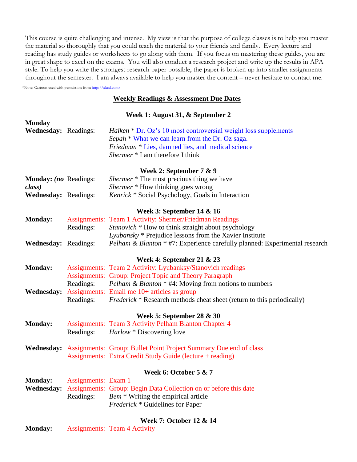This course is quite challenging and intense. My view is that the purpose of college classes is to help you master the material so thoroughly that you could teach the material to your friends and family. Every lecture and reading has study guides or worksheets to go along with them. If you focus on mastering these guides, you are in great shape to excel on the exams. You will also conduct a research project and write up the results in APA style. To help you write the strongest research paper possible, the paper is broken up into smaller assignments throughout the semester. I am always available to help you master the content – never hesitate to contact me.

\*Note: Cartoon used with permission fro[m http://xkcd.com/](http://xkcd.com/)

### **Weekly Readings & Assessment Due Dates**

### **Week 1: August 31, & September 2**

| <b>Monday</b>                |                     |                                                                               |  |  |  |
|------------------------------|---------------------|-------------------------------------------------------------------------------|--|--|--|
| Wednesday: Readings:         |                     | <i>Haiken</i> * <u>Dr. Oz's 10 most controversial weight loss supplements</u> |  |  |  |
|                              |                     | Sepah * What we can learn from the Dr. Oz saga.                               |  |  |  |
|                              |                     | Friedman * Lies, damned lies, and medical science                             |  |  |  |
|                              |                     | Shermer * I am therefore I think                                              |  |  |  |
|                              |                     |                                                                               |  |  |  |
|                              |                     | Week 2: September $7 & 9$                                                     |  |  |  |
| <b>Monday:</b> (no Readings: |                     | <i>Shermer</i> * The most precious thing we have                              |  |  |  |
| class)                       |                     | Shermer * How thinking goes wrong                                             |  |  |  |
| Wednesday: Readings:         |                     | Kenrick * Social Psychology, Goals in Interaction                             |  |  |  |
|                              |                     | Week 3: September 14 & 16                                                     |  |  |  |
| <b>Monday:</b>               |                     | Assignments: Team 1 Activity: Shermer/Friedman Readings                       |  |  |  |
|                              | Readings:           | <i>Stanovich</i> * How to think straight about psychology                     |  |  |  |
|                              |                     | Lyubansky * Prejudice lessons from the Xavier Institute                       |  |  |  |
| <b>Wednesday: Readings:</b>  |                     | Pelham & Blanton * #7: Experience carefully planned: Experimental research    |  |  |  |
|                              |                     |                                                                               |  |  |  |
|                              |                     | Week 4: September 21 & 23                                                     |  |  |  |
| <b>Monday:</b>               |                     | Assignments: Team 2 Activity: Lyubanksy/Stanovich readings                    |  |  |  |
|                              |                     | <b>Assignments: Group: Project Topic and Theory Paragraph</b>                 |  |  |  |
|                              | Readings:           | <i>Pelham &amp; Blanton</i> * #4: Moving from notions to numbers              |  |  |  |
| <b>Wednesday:</b>            |                     | Assignments: Email me 10+ articles as group                                   |  |  |  |
|                              | Readings:           | <i>Frederick</i> * Research methods cheat sheet (return to this periodically) |  |  |  |
|                              |                     | Week 5: September 28 $\&$ 30                                                  |  |  |  |
| <b>Monday:</b>               |                     | <b>Assignments: Team 3 Activity Pelham Blanton Chapter 4</b>                  |  |  |  |
|                              | Readings:           | <i>Harlow</i> * Discovering love                                              |  |  |  |
|                              |                     |                                                                               |  |  |  |
|                              |                     | Wednesday: Assignments: Group: Bullet Point Project Summary Due end of class  |  |  |  |
|                              |                     | Assignments: Extra Credit Study Guide (lecture + reading)                     |  |  |  |
|                              |                     | Week 6: October 5 & 7                                                         |  |  |  |
| Monday:                      | Assignments: Exam 1 |                                                                               |  |  |  |
| <b>Wednesday:</b>            |                     | Assignments: Group: Begin Data Collection on or before this date              |  |  |  |
|                              | Readings:           | Bem <sup>*</sup> Writing the empirical article                                |  |  |  |
|                              |                     | <i>Frederick</i> * Guidelines for Paper                                       |  |  |  |
|                              |                     |                                                                               |  |  |  |
|                              |                     | Week 7: October 12 & 14                                                       |  |  |  |

**Monday:** Assignments: Team 4 Activity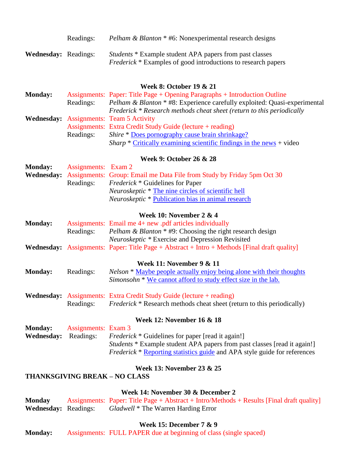|                             | Readings: | <i>Pelham &amp; Blanton</i> * #6: Nonexperimental research designs                                                                     |
|-----------------------------|-----------|----------------------------------------------------------------------------------------------------------------------------------------|
| <b>Wednesday:</b> Readings: |           | <i>Students</i> * Example student APA papers from past classes<br><i>Frederick</i> * Examples of good introductions to research papers |

### **Week 8: October 19 & 21**

| <b>Monday:</b> |           | Assignments: Paper: Title Page + Opening Paragraphs + Introduction Outline           |  |  |  |  |
|----------------|-----------|--------------------------------------------------------------------------------------|--|--|--|--|
|                | Readings: | <i>Pelham &amp; Blanton</i> * #8: Experience carefully exploited: Quasi-experimental |  |  |  |  |
|                |           | Frederick * Research methods cheat sheet (return to this periodically                |  |  |  |  |
|                |           | <b>Wednesday:</b> Assignments: Team 5 Activity                                       |  |  |  |  |
|                |           | Assignments: Extra Credit Study Guide (lecture + reading)                            |  |  |  |  |
|                | Readings: | <i>Shire</i> * Does pornography cause brain shrinkage?                               |  |  |  |  |
|                |           | <i>Sharp</i> * Critically examining scientific findings in the news + video          |  |  |  |  |

#### **Week 9: October 26 & 28**

| <b>Monday:</b> Assignments: Exam 2 |                                                                                          |
|------------------------------------|------------------------------------------------------------------------------------------|
|                                    | <b>Wednesday:</b> Assignments: Group: Email me Data File from Study by Friday 5pm Oct 30 |
|                                    | Readings: <i>Frederick</i> * Guidelines for Paper                                        |
|                                    | <i>Neuroskeptic</i> * The nine circles of scientific hell                                |
|                                    | <i>Neuroskeptic</i> * Publication bias in animal research                                |

### **Week 10: November 2 & 4**

| <b>Monday:</b> |           | Assignments: Email me 4+ new .pdf articles individually                                             |
|----------------|-----------|-----------------------------------------------------------------------------------------------------|
|                | Readings: | <i>Pelham &amp; Blanton</i> * #9: Choosing the right research design                                |
|                |           | <i>Neuroskeptic</i> * Exercise and Depression Revisited                                             |
|                |           | <b>Wednesday:</b> Assignments: Paper: Title Page + Abstract + Intro + Methods [Final draft quality] |

### **Week 11: November 9 & 11**

| <b>Monday:</b> | Readings: | <i>Nelson</i> * Maybe people actually enjoy being alone with their thoughts |
|----------------|-----------|-----------------------------------------------------------------------------|
|                |           | Simonsohn * We cannot afford to study effect size in the lab.               |

|           | <b>Wednesday:</b> Assignments: Extra Credit Study Guide (lecture + reading)   |
|-----------|-------------------------------------------------------------------------------|
| Readings: | <i>Frederick</i> * Research methods cheat sheet (return to this periodically) |

#### **Week 12: November 16 & 18**

| <b>Monday:</b>              | Assignments: Exam 3 |                                                                                  |
|-----------------------------|---------------------|----------------------------------------------------------------------------------|
| <b>Wednesday:</b> Readings: |                     | <i>Frederick</i> * Guidelines for paper [read it again!]                         |
|                             |                     | <i>Students</i> * Example student APA papers from past classes [read it again!]  |
|                             |                     | <i>Frederick</i> * Reporting statistics guide and APA style guide for references |

## **Week 13: November 23 & 25**

### **THANKSGIVING BREAK – NO CLASS**

#### **Week 14: November 30 & December 2**

**Monday** Assignments: Paper: Title Page + Abstract + Intro/Methods + Results [Final draft quality] **Wednesday:** Readings: *Gladwell* \* The Warren Harding Error  $Gladwell * The Warren Harding Error$ 

## **Week 15: December 7 & 9**

**Monday:** Assignments: FULL PAPER due at beginning of class (single spaced)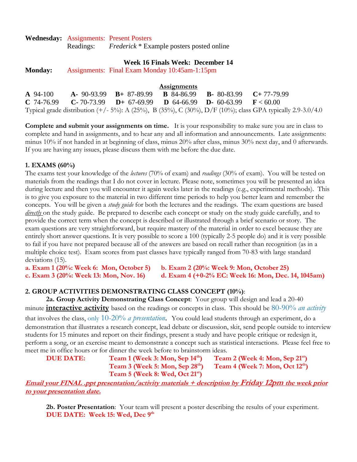**Wednesday:** Assignments: Present Posters

Readings: *Frederick* \* Example posters posted online

### **Week 16 Finals Week: December 14**

**Monday:** Assignments: Final Exam Monday 10:45am-1:15pm

|                     |                               | <b>Assignments</b> |                                                                                                                 |                                                                                                            |
|---------------------|-------------------------------|--------------------|-----------------------------------------------------------------------------------------------------------------|------------------------------------------------------------------------------------------------------------|
| $\mathbf{A}$ 94-100 | $A - 90-93.99$ $B + 87-89.99$ |                    | <b>B</b> 84-86.99 <b>B</b> 80-83.99 <b>C</b> +77-79.99                                                          |                                                                                                            |
|                     |                               |                    | <b>C</b> 74-76.99 <b>C</b> -70-73.99 <b>D</b> + 67-69.99 <b>D</b> 64-66.99 <b>D</b> - 60-63.99 <b>F</b> < 60.00 |                                                                                                            |
|                     |                               |                    |                                                                                                                 | Typical grade distribution (+/- 5%): A (25%), B (35%), C (30%), D/F (10%); class GPA typically 2.9-3.0/4.0 |

**Complete and submit your assignments on time.** It is your responsibility to make sure you are in class to complete and hand in assignments, and to hear any and all information and announcements. Late assignments: minus 10% if not handed in at beginning of class, minus 20% after class, minus 30% next day, and 0 afterwards. If you are having any issues, please discuss them with me before the due date.

### **1. EXAMS (60%)**

The exams test your knowledge of the *lectures* (70% of exam) and *readings* (30% of exam). You will be tested on materials from the readings that I do not cover in lecture. Please note, sometimes you will be presented an idea during lecture and then you will encounter it again weeks later in the readings (e.g., experimental methods). This is to give you exposure to the material in two different time periods to help you better learn and remember the concepts. You will be given a *study guide* for both the lectures and the readings. The exam questions are based *directly* on the study guide. Be prepared to describe each concept or study on the study guide carefully, and to provide the correct term when the concept is described or illustrated through a brief scenario or story. The exam questions are very straightforward, but require mastery of the material in order to excel because they are entirely short answer questions. It is very possible to score a 100 (typically 2-5 people do) and it is very possible to fail if you have not prepared because all of the answers are based on recall rather than recognition (as in a multiple choice test). Exam scores from past classes have typically ranged from 70-83 with large standard deviations (15).

**a. Exam 1 (20%: Week 6: Mon, October 5) b. Exam 2 (20%: Week 9: Mon, October 25)**

**c. Exam 3 (20%: Week 13: Mon, Nov. 16) d. Exam 4 (+0-2% EC: Week 16: Mon, Dec. 14, 1045am)** 

### **2. GROUP ACTIVITIES DEMONSTRATING CLASS CONCEPT (10%)**:

**2a. Group Activity Demonstrating Class Concept**: Your group will design and lead a 20-40 minute **interactive activity** based on the readings or concepts in class. This should be 80-90% *an activity*

that involves the class, only 10-20% *a presentation*. You could lead students through an experiment, do a demonstration that illustrates a research concept, lead debate or discussion, skit, send people outside to interview students for 15 minutes and report on their findings, present a study and have people critique or redesign it, perform a song, or an exercise meant to demonstrate a concept such as statistical interactions. Please feel free to meet me in office hours or for dinner the week before to brainstorm ideas.

**DUE DATE: Team 1 (Week 3: Mon, Sep 14 th) Team 2 (Week 4: Mon, Sep 21 st) Team 3 (Week 5: Mon, Sep 28 th) Team 4 (Week 7: Mon, Oct 12 th) Team 5 (Week 8: Wed, Oct 21 st)**

**Email your FINAL .ppt presentation/activity materials + description by Friday 12pm the week prior to your presentation date.**

**2b. Poster Presentation**: Your team will present a poster describing the results of your experiment. **DUE DATE: Week 15: Wed, Dec 9 th**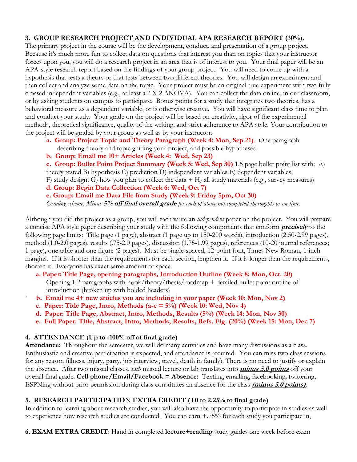## **3. GROUP RESEARCH PROJECT AND INDIVIDUAL APA RESEARCH REPORT (30%).**

The primary project in the course will be the development, conduct, and presentation of a group project. Because it's much more fun to collect data on questions that interest you than on topics that your instructor forces upon you, you will do a research project in an area that is of interest to you. Your final paper will be an APA-style research report based on the findings of your group project. You will need to come up with a hypothesis that tests a theory or that tests between two different theories. You will design an experiment and then collect and analyze some data on the topic. Your project must be an original true experiment with two fully crossed independent variables (e.g., at least a 2 X 2 ANOVA). You can collect the data online, in our classroom, or by asking students on campus to participate. Bonus points for a study that integrates two theories, has a behavioral measure as a dependent variable, or is otherwise creative. You will have significant class time to plan and conduct your study. Your grade on the project will be based on creativity, rigor of the experimental methods, theoretical significance, quality of the writing, and strict adherence to APA style. Your contribution to the project will be graded by your group as well as by your instructor.

- **a. Group: Project Topic and Theory Paragraph (Week 4: Mon, Sep 21)**. One paragraph describing theory and topic guiding your project, and possible hypotheses.
- **b. Group: Email me 10+ Articles (Week 4: Wed, Sep 23)**

**c. Group: Bullet Point Project Summary (Week 5: Wed, Sep 30)** 1.5 page bullet point list with: A)

theory tested B) hypothesis C) prediction D) independent variables E) dependent variables;

F) study design; G) how you plan to collect the data + H) all study materials (e.g., survey measures)

**d. Group: Begin Data Collection (Week 6: Wed, Oct 7)**

**e. Group: Email me Data File from Study (Week 9: Friday 5pm, Oct 30)**

*Grading scheme: Minus* **5% off final overall grade** *for each of above not completed thoroughly or on time.*

Although you did the project as a group, you will each write an *independent* paper on the project. You will prepare a concise APA style paper describing your study with the following components that conform **precisely** to the following page limits: Title page (1 page), abstract (1 page up to 150-200 words), introduction (2.50-2.99 pages), method (1.0-2.0 pages), results (.75-2.0 pages), discussion (1.75-1.99 pages), references (10-20 journal references; 1 page), one table and one figure (2 pages). Must be single-spaced, 12-point font, Times New Roman, 1-inch margins. If it is shorter than the requirements for each section, lengthen it. If it is longer than the requirements, shorten it. Everyone has exact same amount of space.

- **a. Paper: Title Page, opening paragraphs, Introduction Outline (Week 8: Mon, Oct. 20)** Opening 1-2 paragraphs with hook/theory/thesis/roadmap + detailed bullet point outline of introduction (broken up with bolded headers)
- ` **b. Email me 4+ new articles you are including in your paper (Week 10: Mon, Nov 2)**
- **c. Paper: Title Page, Intro, Methods (a-c = 5%) (Week 10: Wed, Nov 4)**
- **d. Paper: Title Page, Abstract, Intro, Methods, Results (5%) (Week 14: Mon, Nov 30)**
- **e. Full Paper: Title, Abstract, Intro, Methods, Results, Refs, Fig. (20%) (Week 15: Mon, Dec 7)**

# **4. ATTENDANCE (Up to -100% off of final grade)**

**Attendance:** Throughout the semester, we will do many activities and have many discussions as a class. Enthusiastic and creative participation is expected, and attendance is required. You can miss two class sessions for any reason (illness, injury, party, job interview, travel, death in family). There is no need to justify or explain the absence. After two missed classes, *each* missed lecture or lab translates into **minus 5.0 points** off your overall final grade. **Cell phone/Email/Facebook = Absence:** Texting, emailing, facebooking, twittering, ESPNing without prior permission during class constitutes an absence for the class **(minus 5.0 points)**.

# **5. RESEARCH PARTICIPATION EXTRA CREDIT (+0 to 2.25% to final grade)**

In addition to learning about research studies, you will also have the opportunity to participate in studies as well to experience how research studies are conducted. You can earn +.75% for each study you participate in,

**6. EXAM EXTRA CREDIT**: Hand in completed **lecture+reading** study guides one week before exam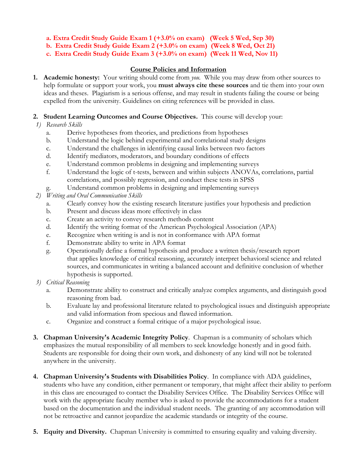**a. Extra Credit Study Guide Exam 1 (+3.0% on exam) (Week 5 Wed, Sep 30)**

**b. Extra Credit Study Guide Exam 2 (+3.0% on exam) (Week 8 Wed, Oct 21)**

**c. Extra Credit Study Guide Exam 3 (+3.0% on exam) (Week 11 Wed, Nov 11)**

## **Course Policies and Information**

**1. Academic honesty:** Your writing should come from *you.* While you may draw from other sources to help formulate or support your work, you **must always cite these sources** and tie them into your own ideas and theses. Plagiarism is a serious offense, and may result in students failing the course or being expelled from the university. Guidelines on citing references will be provided in class.

## **2. Student Learning Outcomes and Course Objectives.** This course will develop your:

# *1) Research Skills*

- a. Derive hypotheses from theories, and predictions from hypotheses
- b. Understand the logic behind experimental and correlational study designs
- c. Understand the challenges in identifying causal links between two factors
- d. Identify mediators, moderators, and boundary conditions of effects
- e. Understand common problems in designing and implementing surveys
- f. Understand the logic of t-tests, between and within subjects ANOVAs, correlations, partial correlations, and possibly regression, and conduct these tests in SPSS
- g. Understand common problems in designing and implementing surveys
- *2) Writing and Oral Communication Skills*
	- a. Clearly convey how the existing research literature justifies your hypothesis and prediction
	- b. Present and discuss ideas more effectively in class
	- c. Create an activity to convey research methods content
	- d. Identify the writing format of the American Psychological Association (APA)
	- e. Recognize when writing is and is not in conformance with APA format
	- f. Demonstrate ability to write in APA format
	- g. Operationally define a formal hypothesis and produce a written thesis/research report that applies knowledge of critical reasoning, accurately interpret behavioral science and related sources, and communicates in writing a balanced account and definitive conclusion of whether hypothesis is supported.
- *3) Critical Reasoning*
	- a. Demonstrate ability to construct and critically analyze complex arguments, and distinguish good reasoning from bad.
	- b. Evaluate lay and professional literature related to psychological issues and distinguish appropriate and valid information from specious and flawed information.
	- c. Organize and construct a formal critique of a major psychological issue.
- **3. Chapman University's Academic Integrity Policy**. Chapman is a community of scholars which emphasizes the mutual responsibility of all members to seek knowledge honestly and in good faith. Students are responsible for doing their own work, and dishonesty of any kind will not be tolerated anywhere in the university.
- **4. Chapman University's Students with Disabilities Policy**. In compliance with ADA guidelines, students who have any condition, either permanent or temporary, that might affect their ability to perform in this class are encouraged to contact the Disability Services Office. The Disability Services Office will work with the appropriate faculty member who is asked to provide the accommodations for a student based on the documentation and the individual student needs. The granting of any accommodation will not be retroactive and cannot jeopardize the academic standards or integrity of the course.
- **5. Equity and Diversity.** Chapman University is committed to ensuring equality and valuing diversity.